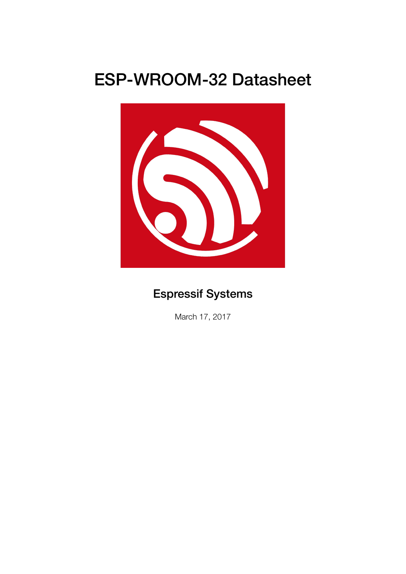# ESP-WROOM-32 Datasheet



# Espressif Systems

March 17, 2017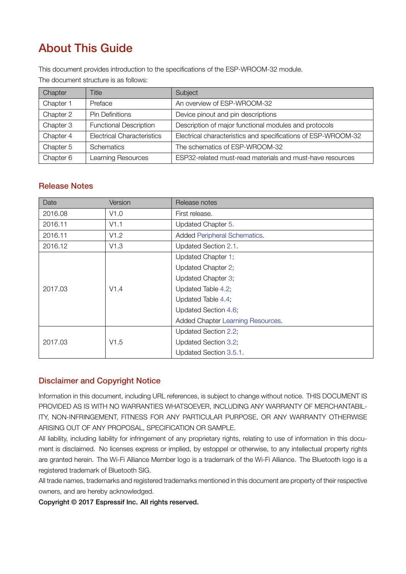# About This Guide

This document provides introduction to the specifications of the ESP-WROOM-32 module.

The document structure is as follows:

| Chapter   | Title                             | Subject                                                       |  |
|-----------|-----------------------------------|---------------------------------------------------------------|--|
| Chapter 1 | Preface                           | An overview of ESP-WROOM-32                                   |  |
| Chapter 2 | <b>Pin Definitions</b>            | Device pinout and pin descriptions                            |  |
| Chapter 3 | <b>Functional Description</b>     | Description of major functional modules and protocols         |  |
| Chapter 4 | <b>Electrical Characteristics</b> | Electrical characteristics and specifications of ESP-WROOM-32 |  |
| Chapter 5 | Schematics                        | The schematics of ESP-WROOM-32                                |  |
| Chapter 6 | Learning Resources                | ESP32-related must-read materials and must-have resources     |  |

### Release Notes

| Date    | Version | Release notes                     |  |
|---------|---------|-----------------------------------|--|
| 2016.08 | V1.0    | First release.                    |  |
| 2016.11 | V1.1    | Updated Chapter 5.                |  |
| 2016.11 | V1.2    | Added Peripheral Schematics.      |  |
| 2016.12 | V1.3    | Updated Section 2.1.              |  |
|         |         | Updated Chapter 1;                |  |
|         |         | Updated Chapter 2;                |  |
|         |         | Updated Chapter 3;                |  |
| 2017.03 | V1.4    | Updated Table 4.2;                |  |
|         |         | Updated Table 4.4;                |  |
|         |         | Updated Section 4.6;              |  |
|         |         | Added Chapter Learning Resources. |  |
|         |         | Updated Section 2.2;              |  |
| 2017.03 | V1.5    | Updated Section 3.2;              |  |
|         |         | Updated Section 3.5.1.            |  |

### Disclaimer and Copyright Notice

Information in this document, including URL references, is subject to change without notice. THIS DOCUMENT IS PROVIDED AS IS WITH NO WARRANTIES WHATSOEVER, INCLUDING ANY WARRANTY OF MERCHANTABIL-ITY, NON-INFRINGEMENT, FITNESS FOR ANY PARTICULAR PURPOSE, OR ANY WARRANTY OTHERWISE ARISING OUT OF ANY PROPOSAL, SPECIFICATION OR SAMPLE.

All liability, including liability for infringement of any proprietary rights, relating to use of information in this document is disclaimed. No licenses express or implied, by estoppel or otherwise, to any intellectual property rights are granted herein. The Wi-Fi Alliance Member logo is a trademark of the Wi-Fi Alliance. The Bluetooth logo is a registered trademark of Bluetooth SIG.

All trade names, trademarks and registered trademarks mentioned in this document are property of their respective owners, and are hereby acknowledged.

Copyright © 2017 Espressif Inc. All rights reserved.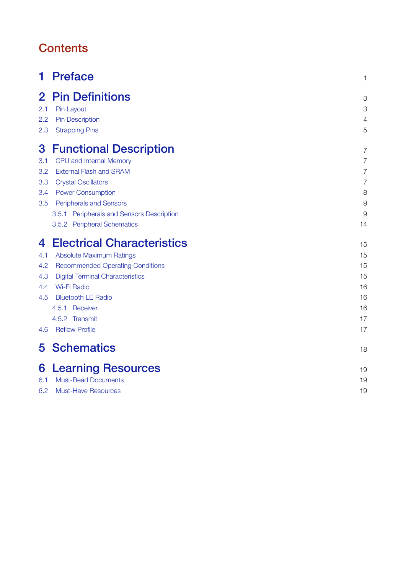# **Contents**

| 1   | <b>Preface</b>                            | 1              |
|-----|-------------------------------------------|----------------|
| 2   | <b>Pin Definitions</b>                    | 3              |
| 2.1 | Pin Layout                                | 3              |
| 2.2 | <b>Pin Description</b>                    | 4              |
| 2.3 | <b>Strapping Pins</b>                     | 5              |
| 3   | <b>Functional Description</b>             | 7              |
| 3.1 | CPU and Internal Memory                   | $\overline{7}$ |
| 3.2 | <b>External Flash and SRAM</b>            | 7              |
| 3.3 | <b>Crystal Oscillators</b>                | $\overline{7}$ |
| 3.4 | <b>Power Consumption</b>                  | 8              |
| 3.5 | <b>Peripherals and Sensors</b>            | 9              |
|     | 3.5.1 Peripherals and Sensors Description | 9              |
|     | 3.5.2 Peripheral Schematics               | 14             |
| 4   | <b>Electrical Characteristics</b>         | 15             |
| 4.1 | <b>Absolute Maximum Ratings</b>           | 15             |
| 4.2 | <b>Recommended Operating Conditions</b>   | 15             |
| 4.3 | <b>Digital Terminal Characteristics</b>   | 15             |
| 4.4 | Wi-Fi Radio                               | 16             |
| 4.5 | <b>Bluetooth LE Radio</b>                 | 16             |
|     | 4.5.1 Receiver                            | 16             |
|     | 4.5.2 Transmit                            | 17             |
| 4.6 | <b>Reflow Profile</b>                     | 17             |
| 5.  | <b>Schematics</b>                         | 18             |
| 6   | <b>Learning Resources</b>                 | 19             |
| 6.1 | <b>Must-Read Documents</b>                | 19             |
| 6.2 | <b>Must-Have Resources</b>                | 19             |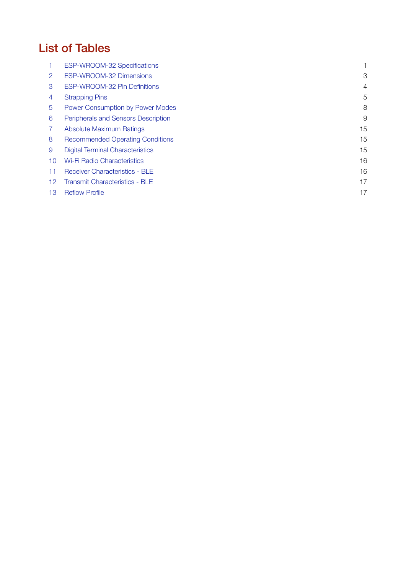# List of Tables

|                   | ESP-WROOM-32 Specifications             |    |
|-------------------|-----------------------------------------|----|
| 2                 | ESP-WROOM-32 Dimensions                 | 3  |
| 3                 | ESP-WROOM-32 Pin Definitions            | 4  |
| 4                 | <b>Strapping Pins</b>                   | 5  |
| 5                 | Power Consumption by Power Modes        | 8  |
| 6                 | Peripherals and Sensors Description     | 9  |
|                   | Absolute Maximum Ratings                | 15 |
| 8                 | <b>Recommended Operating Conditions</b> | 15 |
| 9                 | <b>Digital Terminal Characteristics</b> | 15 |
| 10                | <b>Wi-Fi Radio Characteristics</b>      | 16 |
| 11                | <b>Receiver Characteristics - BLE</b>   | 16 |
| $12 \overline{ }$ | Transmit Characteristics - BLE          | 17 |
| 13                | <b>Reflow Profile</b>                   | 17 |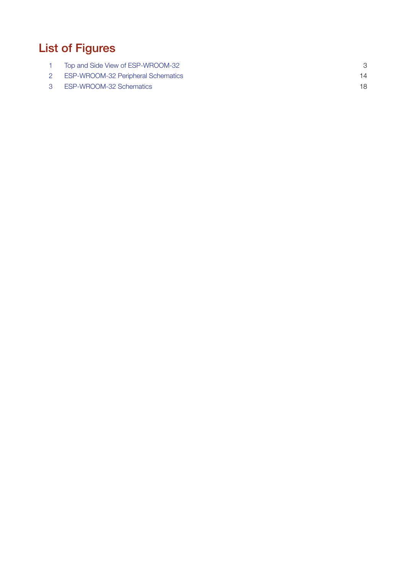# List of Figures

| Top and Side View of ESP-WROOM-32         |  |
|-------------------------------------------|--|
| <b>ESP-WROOM-32 Peripheral Schematics</b> |  |
| <b>ESP-WROOM-32 Schematics</b>            |  |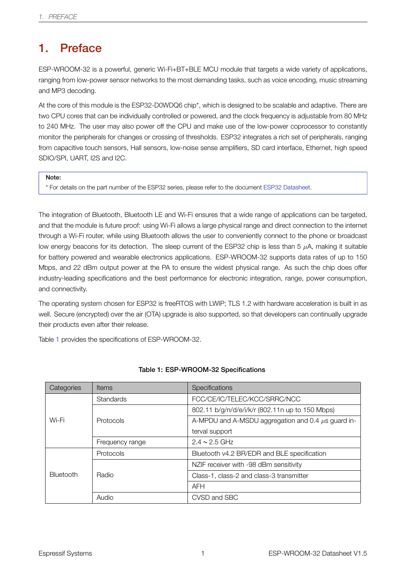# 1. Preface

<span id="page-5-0"></span>ESP-WROOM-32 is a powerful, generic Wi-Fi+BT+BLE MCU module that targets a wide variety of applications, ranging from low-power sensor networks to the most demanding tasks, such as voice encoding, music streaming and MP3 decoding.

At the core of this module is the ESP32-D0WDQ6 chip\*, which is designed to be scalable and adaptive. There are two CPU cores that can be individually controlled or powered, and the clock frequency is adjustable from 80 MHz to 240 MHz. The user may also power off the CPU and make use of the low-power coprocessor to constantly monitor the peripherals for changes or crossing of thresholds. ESP32 integrates a rich set of peripherals, ranging from capacitive touch sensors, Hall sensors, low-noise sense amplifiers, SD card interface, Ethernet, high speed SDIO/SPI, UART, I2S and I2C.

#### Note:

\* For details on the part number of the ESP32 series, please refer to the document ESP32 Datasheet.

The integration of Bluetooth, Bluetooth LE and Wi-Fi ensures that a wide range of applications can be targeted, and that the module is future proof: using Wi-Fi allows a large physical range [and direct conne](http://espressif.com/sites/default/files/documentation/esp32_datasheet_en.pdf)ction to the internet through a Wi-Fi router, while using Bluetooth allows the user to conveniently connect to the phone or broadcast low energy beacons for its detection. The sleep current of the ESP32 chip is less than 5 *µ*A, making it suitable for battery powered and wearable electronics applications. ESP-WROOM-32 supports data rates of up to 150 Mbps, and 22 dBm output power at the PA to ensure the widest physical range. As such the chip does offer industry-leading specifications and the best performance for electronic integration, range, power consumption, and connectivity.

The operating system chosen for ESP32 is freeRTOS with LWIP; TLS 1.2 with hardware acceleration is built in as well. Secure (encrypted) over the air (OTA) upgrade is also supported, so that developers can continually upgrade their products even after their release.

Table 1 provides the specifications of ESP-WROOM-32.

<span id="page-5-1"></span>

| Categories       | <b>Items</b>     | Specifications                                          |  |
|------------------|------------------|---------------------------------------------------------|--|
|                  | <b>Standards</b> | FCC/CE/IC/TELEC/KCC/SRRC/NCC                            |  |
|                  |                  | 802.11 b/g/n/d/e/i/k/r (802.11n up to 150 Mbps)         |  |
| Wi-Fi            | Protocols        | A-MPDU and A-MSDU aggregation and 0.4 $\mu$ s guard in- |  |
|                  |                  | terval support                                          |  |
|                  | Frequency range  | $2.4 \sim 2.5$ GHz                                      |  |
|                  | Protocols        | Bluetooth v4.2 BR/EDR and BLE specification             |  |
|                  |                  | NZIF receiver with -98 dBm sensitivity                  |  |
| <b>Bluetooth</b> | Radio            | Class-1, class-2 and class-3 transmitter                |  |
|                  |                  | <b>AFH</b>                                              |  |
|                  | Audio            | CVSD and SBC                                            |  |

#### Table 1: ESP-WROOM-32 Specifications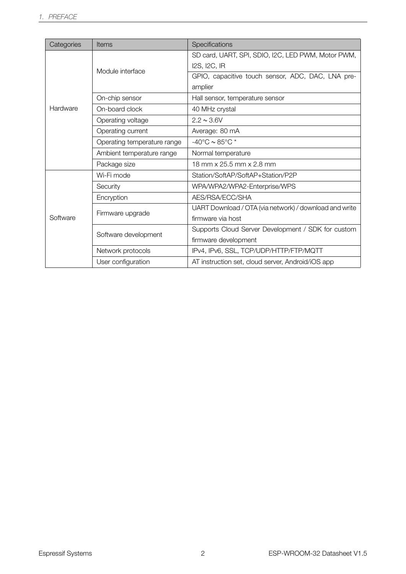| Categories | <b>Items</b>                | Specifications                                         |  |
|------------|-----------------------------|--------------------------------------------------------|--|
|            |                             | SD card, UART, SPI, SDIO, I2C, LED PWM, Motor PWM,     |  |
|            | Module interface            | I2S, I2C, IR                                           |  |
|            |                             | GPIO, capacitive touch sensor, ADC, DAC, LNA pre-      |  |
|            |                             | amplier                                                |  |
|            | On-chip sensor              | Hall sensor, temperature sensor                        |  |
| Hardware   | On-board clock              | 40 MHz crystal                                         |  |
|            | Operating voltage           | $2.2 \sim 3.6 V$                                       |  |
|            | Operating current           | Average: 80 mA                                         |  |
|            | Operating temperature range | -40°C $\sim$ 85°C $^*$                                 |  |
|            | Ambient temperature range   | Normal temperature                                     |  |
|            | Package size                | 18 mm x 25.5 mm x 2.8 mm                               |  |
|            | Wi-Fi mode                  | Station/SoftAP/SoftAP+Station/P2P                      |  |
|            | Security                    | WPA/WPA2/WPA2-Enterprise/WPS                           |  |
|            | Encryption                  | AES/RSA/ECC/SHA                                        |  |
|            | Firmware upgrade            | UART Download / OTA (via network) / download and write |  |
| Software   |                             | firmware via host                                      |  |
|            | Software development        | Supports Cloud Server Development / SDK for custom     |  |
|            |                             | firmware development                                   |  |
|            | Network protocols           | IPv4, IPv6, SSL, TCP/UDP/HTTP/FTP/MQTT                 |  |
|            | User configuration          | AT instruction set, cloud server, Android/iOS app      |  |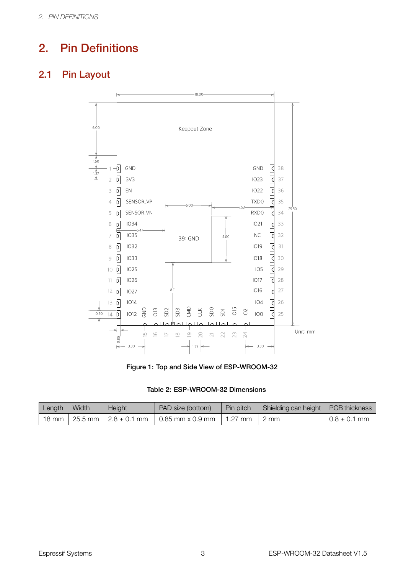# <span id="page-7-1"></span>2. Pin Definitions

# <span id="page-7-0"></span>2.1 Pin Layout



Figure 1: Top and Side View of ESP-WROOM-32

#### Table 2: ESP-WROOM-32 Dimensions

<span id="page-7-2"></span>

| Length        | Width | Height | PAD size (bottom)                             | Pin pitch     | Shielding can height   PCB thickness |                  |
|---------------|-------|--------|-----------------------------------------------|---------------|--------------------------------------|------------------|
| $18$ mm $\pm$ |       |        | 25.5 mm   2.8 $\pm$ 0.1 mm   0.85 mm x 0.9 mm | $\pm$ 1.27 mm | 2 mm                                 | $0.8 \pm 0.1$ mm |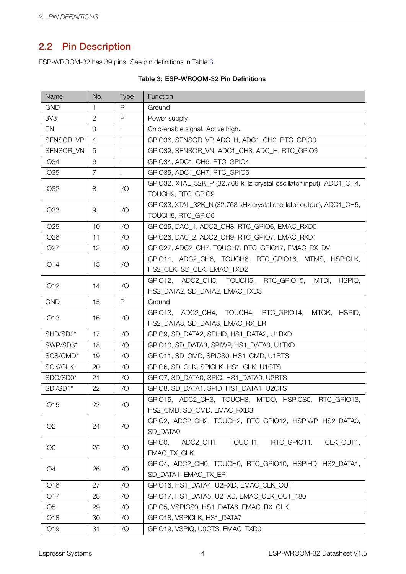# 2.2 Pin Description

<span id="page-8-0"></span>ESP-WROOM-32 has 39 pins. See pin definitions in Table 3.

<span id="page-8-1"></span>

| Name                                | No.            | Type                        | Function                                                                                   |  |
|-------------------------------------|----------------|-----------------------------|--------------------------------------------------------------------------------------------|--|
| <b>GND</b>                          | $\mathbf{1}$   | P                           | Ground                                                                                     |  |
| 3V3                                 | $\mathbf{2}$   | P                           | Power supply.                                                                              |  |
| EN                                  | 3              | $\mathbf{I}$                | Chip-enable signal. Active high.                                                           |  |
| SENSOR VP                           | 4              | $\mathbf{I}$                | GPIO36, SENSOR_VP, ADC_H, ADC1_CH0, RTC_GPIO0                                              |  |
| SENSOR_VN                           | $\overline{5}$ | $\overline{\phantom{a}}$    | GPIO39, SENSOR_VN, ADC1_CH3, ADC_H, RTC_GPIO3                                              |  |
| <b>IO34</b>                         | 6              | $\mathbf{I}$                | GPIO34, ADC1_CH6, RTC_GPIO4                                                                |  |
| <b>IO35</b>                         | $\overline{7}$ | $\mathbf{I}$                | GPIO35, ADC1_CH7, RTC_GPIO5                                                                |  |
| <b>IO32</b>                         | 8              | 1/O                         | GPIO32, XTAL_32K_P (32.768 kHz crystal oscillator input), ADC1_CH4,<br>TOUCH9, RTC_GPIO9   |  |
| <b>IO33</b>                         | 9              | $\mathsf{I}/\mathsf{O}$     | GPIO33, XTAL_32K_N (32.768 kHz crystal oscillator output), ADC1_CH5,<br>TOUCH8, RTC_GPIO8  |  |
| <b>IO25</b>                         | 10             | $\mathsf{I}/\mathsf{O}$     | GPIO25, DAC_1, ADC2_CH8, RTC_GPIO6, EMAC_RXD0                                              |  |
| <b>IO26</b>                         | 11             | 1/O                         | GPIO26, DAC_2, ADC2_CH9, RTC_GPIO7, EMAC_RXD1                                              |  |
| <b>IO27</b>                         | 12             | $\mathsf{I}/\mathsf{O}$     | GPIO27, ADC2_CH7, TOUCH7, RTC_GPIO17, EMAC_RX_DV                                           |  |
| <b>IO14</b>                         | 13             | $\mathsf{I}/\mathsf{O}$     | GPIO14, ADC2_CH6, TOUCH6, RTC_GPIO16, MTMS, HSPICLK,<br>HS2_CLK, SD_CLK, EMAC_TXD2         |  |
| <b>IO12</b>                         | 14             | $\overline{1}/\overline{O}$ | GPIO12, ADC2_CH5, TOUCH5, RTC_GPIO15,<br>MTDI,<br>HSPIQ,<br>HS2_DATA2, SD_DATA2, EMAC_TXD3 |  |
| <b>GND</b>                          | 15             | $\mathsf{P}$                | Ground                                                                                     |  |
|                                     |                |                             | GPIO13, ADC2_CH4, TOUCH4, RTC_GPIO14,<br>MTCK,<br>HSPID,                                   |  |
| <b>IO13</b>                         | 16             | $\overline{1}/\overline{O}$ | HS2_DATA3, SD_DATA3, EMAC_RX_ER                                                            |  |
| SHD/SD2*                            | 17             | $\mathsf{I}/\mathsf{O}$     | GPIO9, SD_DATA2, SPIHD, HS1_DATA2, U1RXD                                                   |  |
| SWP/SD3*                            | 18             | 1/O                         | GPIO10, SD_DATA3, SPIWP, HS1_DATA3, U1TXD                                                  |  |
| SCS/CMD*                            | 19             | 1/O                         | GPIO11, SD_CMD, SPICS0, HS1_CMD, U1RTS                                                     |  |
| $\mathsf{SCK} / \mathsf{CLK}^\star$ | 20             | $\overline{1}/\overline{O}$ | GPIO6, SD_CLK, SPICLK, HS1_CLK, U1CTS                                                      |  |
| SDO/SD0*                            | 21             | 1/O                         | GPIO7, SD_DATA0, SPIQ, HS1_DATA0, U2RTS                                                    |  |
| SDI/SD1*                            | 22             | $\sqrt{O}$                  | GPIO8, SD DATA1, SPID, HS1 DATA1, U2CTS                                                    |  |
| <b>IO15</b>                         | 23             | 1/O                         | GPIO15, ADC2_CH3, TOUCH3, MTDO, HSPICS0, RTC_GPIO13,<br>HS2_CMD, SD_CMD, EMAC_RXD3         |  |
| IO <sub>2</sub>                     | 24             | $\mathsf{I}/\mathsf{O}$     | GPIO2, ADC2_CH2, TOUCH2, RTC_GPIO12, HSPIWP, HS2_DATA0,<br>SD_DATA0                        |  |
| IO <sub>0</sub>                     | 25             | 1/O                         | TOUCH1,<br>RTC_GPIO11,<br>CLK_OUT1,<br>GPIO0,<br>ADC2_CH1,                                 |  |
|                                     |                |                             | EMAC_TX_CLK                                                                                |  |
| IO <sub>4</sub>                     | 26             | $\mathsf{I}/\mathsf{O}$     | GPIO4, ADC2_CH0, TOUCH0, RTC_GPIO10, HSPIHD, HS2_DATA1,<br>SD_DATA1, EMAC_TX_ER            |  |
| <b>IO16</b>                         | 27             | 1/O                         | GPIO16, HS1_DATA4, U2RXD, EMAC_CLK_OUT                                                     |  |
| <b>IO17</b>                         | 28             | 1/O                         | GPIO17, HS1_DATA5, U2TXD, EMAC_CLK_OUT_180                                                 |  |
| IO <sub>5</sub>                     | 29             | 1/O                         | GPIO5, VSPICS0, HS1_DATA6, EMAC_RX_CLK                                                     |  |
| <b>IO18</b>                         | 30             | 1/O                         | GPIO18, VSPICLK, HS1_DATA7                                                                 |  |
| <b>IO19</b>                         | 31             | 1/O                         | GPIO19, VSPIQ, U0CTS, EMAC_TXD0                                                            |  |

#### Table 3: ESP-WROOM-32 Pin Definitions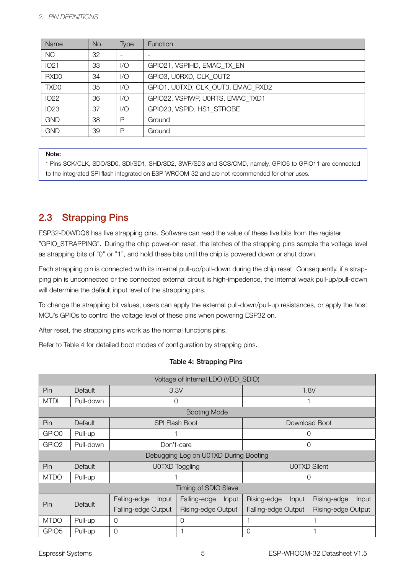| Name             | No. | Type  | <b>Function</b>                   |
|------------------|-----|-------|-----------------------------------|
| <b>NC</b>        | 32  | ٠     |                                   |
| <b>IO21</b>      | 33  | 1/O   | GPIO21, VSPIHD, EMAC TX EN        |
| RXD <sub>0</sub> | 34  | $V$ O | GPIO3, U0RXD, CLK OUT2            |
| TXD <sub>0</sub> | 35  | 1/O   | GPIO1, U0TXD, CLK OUT3, EMAC RXD2 |
| <b>IO22</b>      | 36  | $V$ O | GPIO22, VSPIWP, U0RTS, EMAC_TXD1  |
| <b>IO23</b>      | 37  | 1/O   | GPIO23, VSPID, HS1 STROBE         |
| <b>GND</b>       | 38  | P     | Ground                            |
| <b>GND</b>       | 39  | P     | Ground                            |

#### Note:

\* Pins SCK/CLK, SDO/SD0, SDI/SD1, SHD/SD2, SWP/SD3 and SCS/CMD, namely, GPIO6 to GPIO11 are connected to the integrated SPI flash integrated on ESP-WROOM-32 and are not recommended for other uses.

### 2.3 Strapping Pins

<span id="page-9-0"></span>ESP32-D0WDQ6 has five strapping pins. Software can read the value of these five bits from the register "GPIO\_STRAPPING". During the chip power-on reset, the latches of the strapping pins sample the voltage level as strapping bits of "0" or "1", and hold these bits until the chip is powered down or shut down.

Each strapping pin is connected with its internal pull-up/pull-down during the chip reset. Consequently, if a strapping pin is unconnected or the connected external circuit is high-impedence, the internal weak pull-up/pull-down will determine the default input level of the strapping pins.

To change the strapping bit values, users can apply the external pull-down/pull-up resistances, or apply the host MCU's GPIOs to control the voltage level of these pins when powering ESP32 on.

After reset, the strapping pins work as the normal functions pins.

Refer to Table 4 for detailed boot modes of configuration by strapping pins.

<span id="page-9-1"></span>

| Voltage of Internal LDO (VDD_SDIO) |                      |                       |                                       |                      |                             |  |  |
|------------------------------------|----------------------|-----------------------|---------------------------------------|----------------------|-----------------------------|--|--|
| Pin                                | <b>Default</b>       |                       | 3.3V                                  | 1.8V                 |                             |  |  |
| <b>MTDI</b>                        | Pull-down            | 0                     |                                       |                      |                             |  |  |
|                                    |                      |                       | <b>Booting Mode</b>                   |                      |                             |  |  |
| Pin                                | Default              |                       | <b>SPI Flash Boot</b>                 |                      | Download Boot               |  |  |
| GPIO0                              | Pull-up              |                       |                                       | $\left( \right)$     |                             |  |  |
| GPIO <sub>2</sub>                  | Pull-down            |                       | Don't-care                            | $\Omega$             |                             |  |  |
|                                    |                      |                       | Debugging Log on U0TXD During Booting |                      |                             |  |  |
| Pin                                | Default              |                       | U0TXD Toggling                        |                      | <b>UOTXD Silent</b>         |  |  |
| <b>MTDO</b>                        | Pull-up              |                       |                                       | $\Omega$             |                             |  |  |
|                                    | Timing of SDIO Slave |                       |                                       |                      |                             |  |  |
| Pin                                | Default              | Falling-edge<br>Input | Falling-edge<br>Input                 | Rising-edge<br>Input | Rising-edge<br><b>Input</b> |  |  |
|                                    |                      | Falling-edge Output   | Rising-edge Output                    | Falling-edge Output  | Rising-edge Output          |  |  |
| <b>MTDO</b>                        | Pull-up              | $\circ$<br>0          |                                       |                      |                             |  |  |
| GPIO <sub>5</sub>                  | Pull-up              | 0                     |                                       | 0                    |                             |  |  |

#### Table 4: Strapping Pins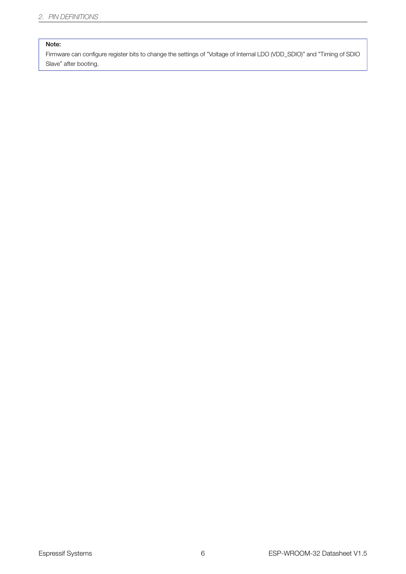#### Note:

Firmware can configure register bits to change the settings of "Voltage of Internal LDO (VDD\_SDIO)" and "Timing of SDIO Slave" after booting.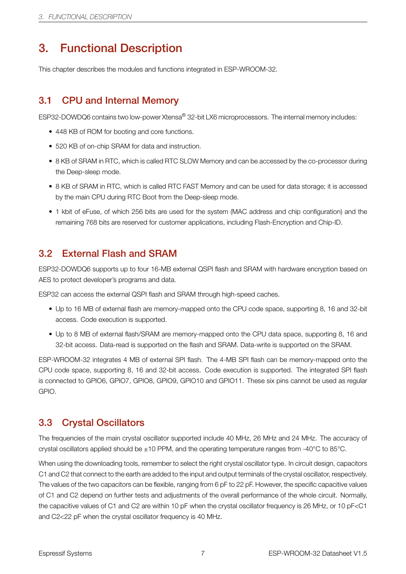# <span id="page-11-0"></span>3. Functional Description

This chapter describes the modules and functions integrated in ESP-WROOM-32.

## <span id="page-11-1"></span>3.1 CPU and Internal Memory

ESP32-DOWDQ6 contains two low-power Xtensa® 32-bit LX6 microprocessors. The internal memory includes:

- 448 KB of ROM for booting and core functions.
- 520 KB of on-chip SRAM for data and instruction.
- 8 KB of SRAM in RTC, which is called RTC SLOW Memory and can be accessed by the co-processor during the Deep-sleep mode.
- 8 KB of SRAM in RTC, which is called RTC FAST Memory and can be used for data storage; it is accessed by the main CPU during RTC Boot from the Deep-sleep mode.
- 1 kbit of eFuse, of which 256 bits are used for the system (MAC address and chip configuration) and the remaining 768 bits are reserved for customer applications, including Flash-Encryption and Chip-ID.

### <span id="page-11-2"></span>3.2 External Flash and SRAM

ESP32-DOWDQ6 supports up to four 16-MB external QSPI flash and SRAM with hardware encryption based on AES to protect developer's programs and data.

ESP32 can access the external QSPI flash and SRAM through high-speed caches.

- Up to 16 MB of external flash are memory-mapped onto the CPU code space, supporting 8, 16 and 32-bit access. Code execution is supported.
- Up to 8 MB of external flash/SRAM are memory-mapped onto the CPU data space, supporting 8, 16 and 32-bit access. Data-read is supported on the flash and SRAM. Data-write is supported on the SRAM.

ESP-WROOM-32 integrates 4 MB of external SPI flash. The 4-MB SPI flash can be memory-mapped onto the CPU code space, supporting 8, 16 and 32-bit access. Code execution is supported. The integrated SPI flash is connected to GPIO6, GPIO7, GPIO8, GPIO9, GPIO10 and GPIO11. These six pins cannot be used as regular GPIO.

### <span id="page-11-3"></span>3.3 Crystal Oscillators

The frequencies of the main crystal oscillator supported include 40 MHz, 26 MHz and 24 MHz. The accuracy of crystal oscillators applied should be ±10 PPM, and the operating temperature ranges from -40°C to 85°C.

When using the downloading tools, remember to select the right crystal oscillator type. In circuit design, capacitors C1 and C2 that connect to the earth are added to the input and output terminals of the crystal oscillator, respectively. The values of the two capacitors can be flexible, ranging from 6 pF to 22 pF. However, the specific capacitive values of C1 and C2 depend on further tests and adjustments of the overall performance of the whole circuit. Normally, the capacitive values of C1 and C2 are within 10 pF when the crystal oscillator frequency is 26 MHz, or 10 pF<C1 and C2<22 pF when the crystal oscillator frequency is 40 MHz.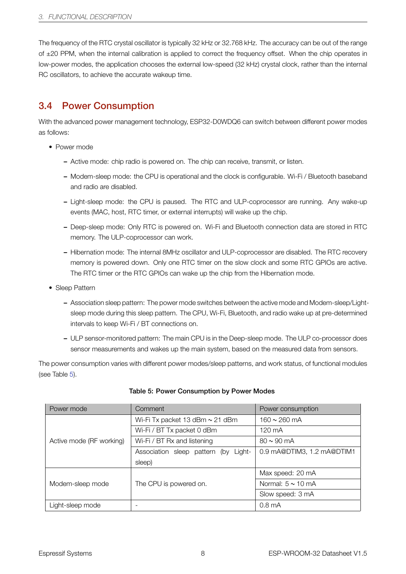The frequency of the RTC crystal oscillator is typically 32 kHz or 32.768 kHz. The accuracy can be out of the range of ±20 PPM, when the internal calibration is applied to correct the frequency offset. When the chip operates in low-power modes, the application chooses the external low-speed (32 kHz) crystal clock, rather than the internal RC oscillators, to achieve the accurate wakeup time.

### 3.4 Power Consumption

<span id="page-12-0"></span>With the advanced power management technology, ESP32-D0WDQ6 can switch between different power modes as follows:

- Power mode
	- Active mode: chip radio is powered on. The chip can receive, transmit, or listen.
	- Modem-sleep mode: the CPU is operational and the clock is configurable. Wi-Fi / Bluetooth baseband and radio are disabled.
	- Light-sleep mode: the CPU is paused. The RTC and ULP-coprocessor are running. Any wake-up events (MAC, host, RTC timer, or external interrupts) will wake up the chip.
	- Deep-sleep mode: Only RTC is powered on. Wi-Fi and Bluetooth connection data are stored in RTC memory. The ULP-coprocessor can work.
	- Hibernation mode: The internal 8MHz oscillator and ULP-coprocessor are disabled. The RTC recovery memory is powered down. Only one RTC timer on the slow clock and some RTC GPIOs are active. The RTC timer or the RTC GPIOs can wake up the chip from the Hibernation mode.
- Sleep Pattern
	- Association sleep pattern: The power mode switches between the active mode and Modem-sleep/Lightsleep mode during this sleep pattern. The CPU, Wi-Fi, Bluetooth, and radio wake up at pre-determined intervals to keep Wi-Fi / BT connections on.
	- ULP sensor-monitored pattern: The main CPU is in the Deep-sleep mode. The ULP co-processor does sensor measurements and wakes up the main system, based on the measured data from sensors.

The power consumption varies with different power modes/sleep patterns, and work status, of functional modules (see Table 5).

<span id="page-12-1"></span>

| Power mode               | Comment                                 | Power consumption          |
|--------------------------|-----------------------------------------|----------------------------|
|                          | Wi-Fi Tx packet 13 dBm $\sim$ 21 dBm    | $160 \sim 260$ mA          |
|                          | Wi-Fi / BT Tx packet 0 dBm              | 120 mA                     |
| Active mode (RF working) | Wi-Fi / BT Rx and listening             | $80 \sim 90 \text{ mA}$    |
|                          | Association sleep pattern (by<br>Light- | 0.9 mA@DTIM3, 1.2 mA@DTIM1 |
|                          | sleep)                                  |                            |
|                          |                                         | Max speed: 20 mA           |
| Modem-sleep mode         | The CPU is powered on.                  | Normal: $5 \sim 10$ mA     |
|                          |                                         | Slow speed: 3 mA           |
| Light-sleep mode         |                                         | 0.8 <sub>m</sub> A         |

#### Table 5: Power Consumption by Power Modes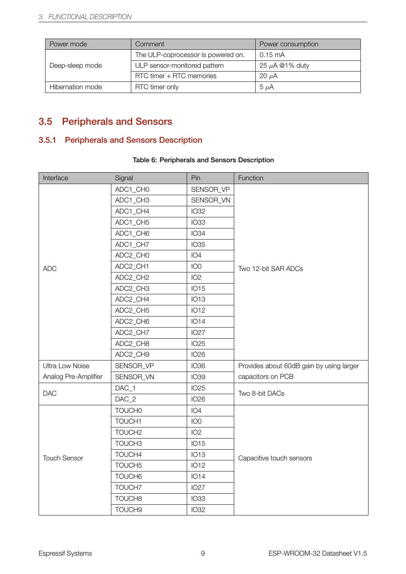| Power mode       | Comment                            | Power consumption   |  |
|------------------|------------------------------------|---------------------|--|
|                  | The ULP-coprocessor is powered on. | $0.15 \text{ mA}$   |  |
| Deep-sleep mode  | ULP sensor-monitored pattern       | 25 $\mu$ A @1% duty |  |
|                  | RTC timer + RTC memories           | 20 $\mu$ A          |  |
| Hibernation mode | RTC timer only                     | $5 \mu A$           |  |

# <span id="page-13-0"></span>3.5 Peripherals and Sensors

### <span id="page-13-1"></span>3.5.1 Peripherals and Sensors Description

#### Table 6: Peripherals and Sensors Description

<span id="page-13-2"></span>

| Interface              | Signal             | Pin             | Function                                 |  |
|------------------------|--------------------|-----------------|------------------------------------------|--|
|                        | ADC1_CH0           | SENSOR_VP       |                                          |  |
|                        | ADC1_CH3           | SENSOR_VN       |                                          |  |
|                        | ADC1_CH4           | <b>IO32</b>     |                                          |  |
|                        | ADC1_CH5           | <b>IO33</b>     |                                          |  |
|                        | ADC1_CH6           | <b>IO34</b>     |                                          |  |
|                        | ADC1_CH7           | <b>IO35</b>     |                                          |  |
|                        | ADC2_CH0           | IO <sub>4</sub> |                                          |  |
| <b>ADC</b>             | ADC2_CH1           | IO <sub>0</sub> | Two 12-bit SAR ADCs                      |  |
|                        | ADC2_CH2           | IO <sub>2</sub> |                                          |  |
|                        | ADC2_CH3           | <b>IO15</b>     |                                          |  |
|                        | ADC2_CH4           | <b>IO13</b>     |                                          |  |
|                        | ADC2_CH5           | <b>IO12</b>     |                                          |  |
|                        | ADC2_CH6           | <b>IO14</b>     |                                          |  |
|                        | ADC2_CH7           | <b>IO27</b>     |                                          |  |
|                        | ADC2_CH8           | <b>IO25</b>     |                                          |  |
|                        | ADC2_CH9           | <b>IO26</b>     |                                          |  |
| <b>Ultra Low Noise</b> | SENSOR_VP          | <b>IO36</b>     | Provides about 60dB gain by using larger |  |
| Analog Pre-Amplifier   | SENSOR_VN          | <b>IO39</b>     | capacitors on PCB                        |  |
|                        | DAC_1              | <b>IO25</b>     |                                          |  |
| <b>DAC</b>             | $DAC_2$            | <b>IO26</b>     | Two 8-bit DACs                           |  |
|                        | <b>TOUCH0</b>      | IO <sub>4</sub> |                                          |  |
|                        | TOUCH1             | IO <sub>0</sub> |                                          |  |
|                        | TOUCH <sub>2</sub> | IO <sub>2</sub> |                                          |  |
|                        | TOUCH3             | <b>IO15</b>     |                                          |  |
| <b>Touch Sensor</b>    | TOUCH4             | <b>IO13</b>     | Capacitive touch sensors                 |  |
|                        | TOUCH5             | <b>IO12</b>     |                                          |  |
|                        | TOUCH6             | <b>IO14</b>     |                                          |  |
|                        | TOUCH7             | <b>IO27</b>     |                                          |  |
|                        | TOUCH8             | <b>IO33</b>     |                                          |  |
|                        | TOUCH9             | <b>IO32</b>     |                                          |  |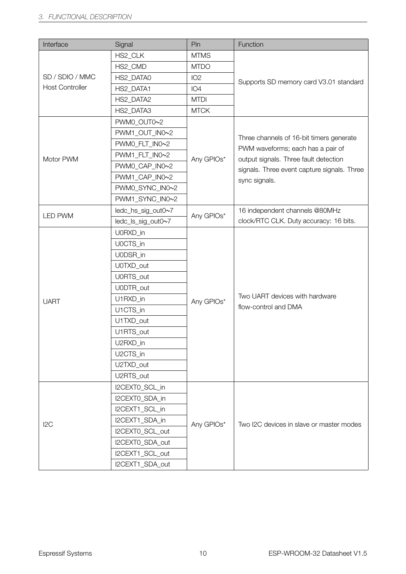| Interface              | Signal             | Pin             | Function                                    |  |
|------------------------|--------------------|-----------------|---------------------------------------------|--|
|                        | HS2 CLK            | <b>MTMS</b>     |                                             |  |
|                        | HS2_CMD            | <b>MTDO</b>     |                                             |  |
| SD / SDIO / MMC        | HS2_DATA0          | IO <sub>2</sub> | Supports SD memory card V3.01 standard      |  |
| <b>Host Controller</b> | HS2_DATA1          | IO <sub>4</sub> |                                             |  |
|                        | HS2_DATA2          | <b>MTDI</b>     |                                             |  |
|                        | HS2_DATA3          | <b>MTCK</b>     |                                             |  |
|                        | PWM0 OUT0~2        |                 |                                             |  |
|                        | PWM1_OUT_IN0~2     |                 | Three channels of 16-bit timers generate    |  |
|                        | PWM0_FLT_IN0~2     |                 | PWM waveforms; each has a pair of           |  |
| Motor PWM              | PWM1_FLT_IN0~2     | Any GPIOs*      | output signals. Three fault detection       |  |
|                        | PWM0_CAP_IN0~2     |                 | signals. Three event capture signals. Three |  |
|                        | PWM1_CAP_IN0~2     |                 | sync signals.                               |  |
|                        | PWM0_SYNC_IN0~2    |                 |                                             |  |
|                        | PWM1_SYNC_IN0~2    |                 |                                             |  |
| <b>LED PWM</b>         | ledc_hs_sig_out0~7 | Any GPIOs*      | 16 independent channels @80MHz              |  |
|                        | ledc_ls_sig_out0~7 |                 | clock/RTC CLK. Duty accuracy: 16 bits.      |  |
|                        | U0RXD_in           |                 |                                             |  |
|                        | U0CTS_in           |                 |                                             |  |
|                        | U0DSR_in           |                 |                                             |  |
|                        | U0TXD_out          |                 |                                             |  |
|                        | U0RTS_out          |                 |                                             |  |
|                        | U0DTR_out          |                 |                                             |  |
| <b>UART</b>            | U1RXD_in           | Any GPIOs*      | Two UART devices with hardware              |  |
|                        | U1CTS_in           |                 | flow-control and DMA                        |  |
|                        | U1TXD_out          |                 |                                             |  |
|                        | U1RTS_out          |                 |                                             |  |
|                        | U2RXD_in           |                 |                                             |  |
|                        | U2CTS_in           |                 |                                             |  |
|                        | U2TXD_out          |                 |                                             |  |
|                        | U2RTS_out          |                 |                                             |  |
|                        | I2CEXTO_SCL_in     |                 |                                             |  |
|                        | I2CEXTO_SDA_in     |                 |                                             |  |
|                        | I2CEXT1_SCL_in     |                 |                                             |  |
| 12C                    | I2CEXT1_SDA_in     | Any GPIOs*      | Two I2C devices in slave or master modes    |  |
|                        | I2CEXT0_SCL_out    |                 |                                             |  |
|                        | I2CEXT0_SDA_out    |                 |                                             |  |
|                        | I2CEXT1_SCL_out    |                 |                                             |  |
|                        | I2CEXT1_SDA_out    |                 |                                             |  |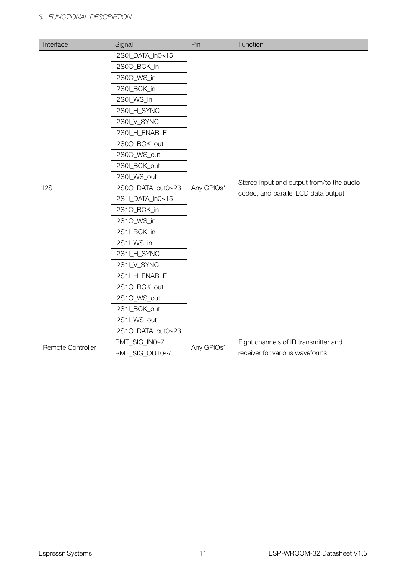| Interface         | Signal             | Pin        | Function                                  |  |  |
|-------------------|--------------------|------------|-------------------------------------------|--|--|
|                   | I2S0I_DATA_in0~15  |            |                                           |  |  |
|                   | I2S0O_BCK_in       |            |                                           |  |  |
|                   | I2S0O_WS_in        |            |                                           |  |  |
|                   | I2S0I_BCK_in       |            |                                           |  |  |
|                   | I2S0I_WS_in        |            |                                           |  |  |
|                   | I2S0I_H_SYNC       |            |                                           |  |  |
|                   | I2S0I_V_SYNC       |            |                                           |  |  |
|                   | I2S0I_H_ENABLE     |            |                                           |  |  |
|                   | I2S0O_BCK_out      |            |                                           |  |  |
|                   | I2S0O_WS_out       |            |                                           |  |  |
|                   | I2S0I_BCK_out      | Any GPIOs* |                                           |  |  |
|                   | I2S0I_WS_out       |            | Stereo input and output from/to the audio |  |  |
| I <sub>2</sub> S  | I2S0O_DATA_out0~23 |            | codec, and parallel LCD data output       |  |  |
|                   | I2S1I_DATA_in0~15  |            |                                           |  |  |
|                   | I2S1O_BCK_in       |            |                                           |  |  |
|                   | I2S1O_WS_in        |            |                                           |  |  |
|                   | I2S1I_BCK_in       |            |                                           |  |  |
|                   | I2S1I_WS_in        |            |                                           |  |  |
|                   | I2S1I_H_SYNC       |            |                                           |  |  |
|                   | I2S1I_V_SYNC       |            |                                           |  |  |
|                   | I2S1I_H_ENABLE     |            |                                           |  |  |
|                   | I2S1O_BCK_out      |            |                                           |  |  |
|                   | I2S1O_WS_out       |            |                                           |  |  |
|                   | I2S1I_BCK_out      |            |                                           |  |  |
|                   | I2S1I_WS_out       |            |                                           |  |  |
|                   | I2S1O_DATA_out0~23 |            |                                           |  |  |
| Remote Controller | RMT_SIG_IN0~7      | Any GPIOs* | Eight channels of IR transmitter and      |  |  |
|                   | RMT_SIG_OUT0~7     |            | receiver for various waveforms            |  |  |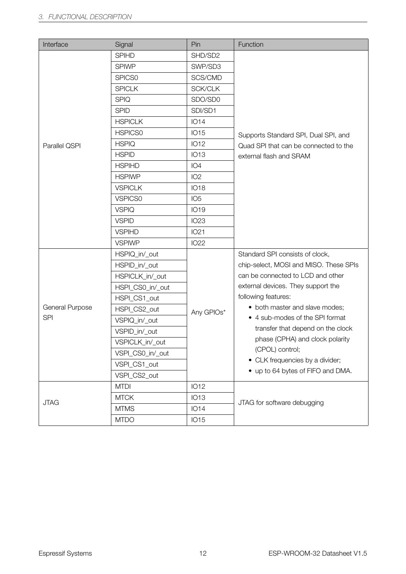| Interface       | Signal           | Pin             | Function                               |
|-----------------|------------------|-----------------|----------------------------------------|
|                 | <b>SPIHD</b>     | SHD/SD2         |                                        |
|                 | <b>SPIWP</b>     | SWP/SD3         |                                        |
|                 | SPICS0           | SCS/CMD         |                                        |
|                 | <b>SPICLK</b>    | SCK/CLK         |                                        |
|                 | <b>SPIQ</b>      | SDO/SD0         |                                        |
|                 | <b>SPID</b>      | SDI/SD1         |                                        |
|                 | <b>HSPICLK</b>   | <b>IO14</b>     |                                        |
|                 | <b>HSPICS0</b>   | <b>IO15</b>     | Supports Standard SPI, Dual SPI, and   |
| Parallel QSPI   | <b>HSPIQ</b>     | <b>IO12</b>     | Quad SPI that can be connected to the  |
|                 | <b>HSPID</b>     | <b>IO13</b>     | external flash and SRAM                |
|                 | <b>HSPIHD</b>    | IO <sub>4</sub> |                                        |
|                 | <b>HSPIWP</b>    | IO <sub>2</sub> |                                        |
|                 | <b>VSPICLK</b>   | <b>IO18</b>     |                                        |
|                 | <b>VSPICS0</b>   | IO <sub>5</sub> |                                        |
|                 | <b>VSPIQ</b>     | <b>IO19</b>     |                                        |
|                 | <b>VSPID</b>     | <b>IO23</b>     |                                        |
|                 | <b>VSPIHD</b>    | IO21            |                                        |
|                 | <b>VSPIWP</b>    | <b>IO22</b>     |                                        |
|                 | HSPIQ_in/_out    |                 | Standard SPI consists of clock,        |
|                 | HSPID_in/_out    |                 | chip-select, MOSI and MISO. These SPIs |
|                 | HSPICLK_in/_out  |                 | can be connected to LCD and other      |
|                 | HSPI_CS0_in/_out |                 | external devices. They support the     |
|                 | HSPI_CS1_out     |                 | following features:                    |
| General Purpose | HSPI_CS2_out     | Any GPIOs*      | • both master and slave modes;         |
| <b>SPI</b>      | VSPIQ_in/_out    |                 | • 4 sub-modes of the SPI format        |
|                 | VSPID_in/_out    |                 | transfer that depend on the clock      |
|                 | VSPICLK_in/_out  |                 | phase (CPHA) and clock polarity        |
|                 | VSPI_CS0_in/_out |                 | (CPOL) control;                        |
|                 | VSPI_CS1_out     |                 | • CLK frequencies by a divider;        |
|                 | VSPI_CS2_out     |                 | • up to 64 bytes of FIFO and DMA.      |
|                 | <b>MTDI</b>      | <b>IO12</b>     |                                        |
| <b>JTAG</b>     | <b>MTCK</b>      | <b>IO13</b>     | JTAG for software debugging            |
|                 | <b>MTMS</b>      | <b>IO14</b>     |                                        |
|                 | <b>MTDO</b>      | <b>IO15</b>     |                                        |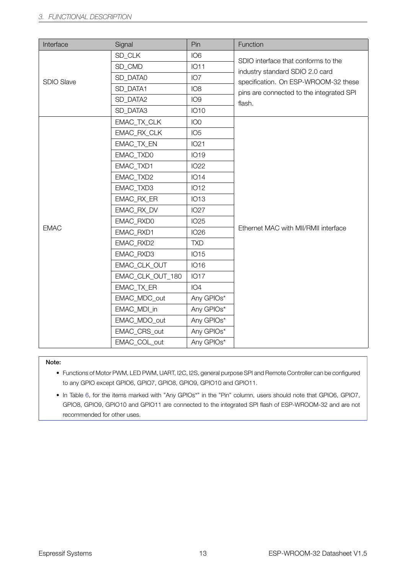| Interface         | Signal           | Pin             | Function                                                               |
|-------------------|------------------|-----------------|------------------------------------------------------------------------|
|                   | SD_CLK           | IO <sub>6</sub> |                                                                        |
|                   | SD_CMD           | <b>IO11</b>     | SDIO interface that conforms to the<br>industry standard SDIO 2.0 card |
| <b>SDIO Slave</b> | SD_DATA0         | IO <sub>7</sub> | specification. On ESP-WROOM-32 these                                   |
|                   | SD_DATA1         | IO <sub>8</sub> | pins are connected to the integrated SPI                               |
|                   | SD DATA2         | IO <sub>9</sub> | flash.                                                                 |
|                   | SD_DATA3         | <b>IO10</b>     |                                                                        |
|                   | EMAC_TX_CLK      | IO <sub>0</sub> |                                                                        |
|                   | EMAC_RX_CLK      | IO <sub>5</sub> |                                                                        |
|                   | EMAC_TX_EN       | <b>IO21</b>     |                                                                        |
|                   | EMAC_TXD0        | <b>IO19</b>     |                                                                        |
|                   | EMAC_TXD1        | <b>IO22</b>     |                                                                        |
|                   | EMAC_TXD2        | <b>IO14</b>     |                                                                        |
|                   | EMAC_TXD3        | <b>IO12</b>     |                                                                        |
|                   | EMAC_RX_ER       | <b>IO13</b>     |                                                                        |
|                   | EMAC RX DV       | <b>IO27</b>     |                                                                        |
|                   | EMAC_RXD0        | <b>IO25</b>     |                                                                        |
| <b>EMAC</b>       | EMAC_RXD1        | <b>IO26</b>     | Ethernet MAC with MII/RMII interface                                   |
|                   | EMAC_RXD2        | <b>TXD</b>      |                                                                        |
|                   | EMAC_RXD3        | <b>IO15</b>     |                                                                        |
|                   | EMAC_CLK_OUT     | <b>IO16</b>     |                                                                        |
|                   | EMAC_CLK_OUT_180 | <b>IO17</b>     |                                                                        |
|                   | EMAC_TX_ER       | IO <sub>4</sub> |                                                                        |
|                   | EMAC_MDC_out     | Any GPIOs*      |                                                                        |
|                   | EMAC_MDI_in      | Any GPIOs*      |                                                                        |
|                   | EMAC_MDO_out     | Any GPIOs*      |                                                                        |
|                   | EMAC_CRS_out     | Any GPIOs*      |                                                                        |
|                   | EMAC COL out     | Any GPIOs*      |                                                                        |

#### Note:

- Functions of Motor PWM, LED PWM, UART, I2C, I2S, general purpose SPI and Remote Controller can be configured to any GPIO except GPIO6, GPIO7, GPIO8, GPIO9, GPIO10 and GPIO11.
- In Table 6, for the items marked with "Any GPIOs\*" in the "Pin" column, users should note that GPIO6, GPIO7, GPIO8, GPIO9, GPIO10 and GPIO11 are connected to the integrated SPI flash of ESP-WROOM-32 and are not recommended for other uses.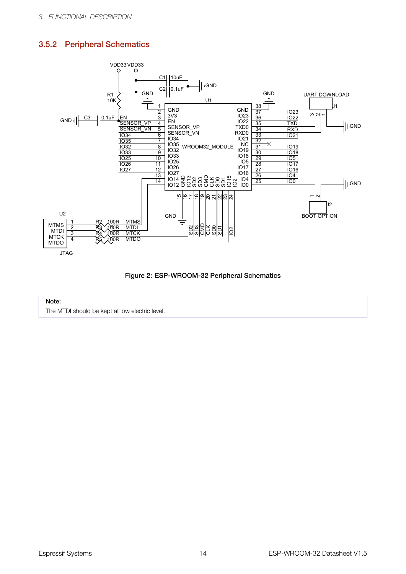### <span id="page-18-0"></span>3.5.2 Peripheral Schematics





#### Note:

The MTDI should be kept at low electric level.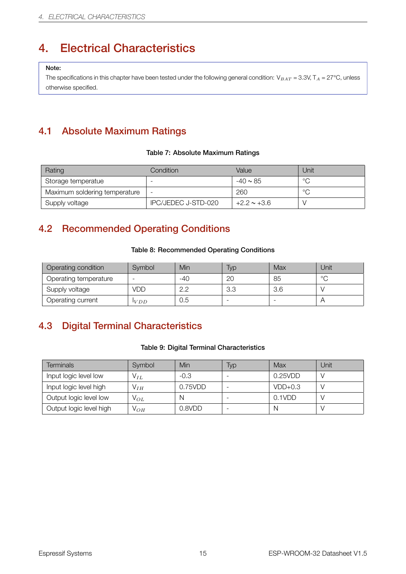# <span id="page-19-1"></span>4. Electrical Characteristics

#### Note:

The specifications in this chapter have been tested under the following general condition: V<sub>BAT</sub> = 3.3V, T<sub>A</sub> = 27°C, unless otherwise specified.

# <span id="page-19-2"></span>4.1 Absolute Maximum Ratings

#### Table 7: Absolute Maximum Ratings

<span id="page-19-4"></span>

| Rating                        | Condition                | Value            | Jnit    |
|-------------------------------|--------------------------|------------------|---------|
| Storage temperatue            |                          | $-40 \sim 85$    | $\circ$ |
| Maximum soldering temperature | $\overline{\phantom{0}}$ | 260              | $\circ$ |
| Supply voltage                | IPC/JEDEC J-STD-020      | $+2.2 \sim +3.6$ |         |

### <span id="page-19-0"></span>4.2 Recommended Operating Conditions

#### Table 8: Recommended Operating Conditions

<span id="page-19-5"></span>

| Operating condition   | Symbol        | Min | lyp | Max | Unit    |
|-----------------------|---------------|-----|-----|-----|---------|
| Operating temperature |               | -40 | 20  | 85  | $\circ$ |
| Supply voltage        | VDD           | n n | 3.3 | 3.6 |         |
| Operating current     | l <i>v DD</i> | U.5 |     |     |         |

# <span id="page-19-3"></span>4.3 Digital Terminal Characteristics

#### Table 9: Digital Terminal Characteristics

<span id="page-19-6"></span>

| Terminals               | Symbol            | Min     | Typ | Max       | Unit |
|-------------------------|-------------------|---------|-----|-----------|------|
| Input logic level low   | $\mathsf{V}_{IL}$ | -0.3    |     | 0.25VDD   |      |
| Input logic level high  | $V_{IH}$          | 0.75VDD |     | $VDD+0.3$ |      |
| Output logic level low  | $V_{OL}$          | N       |     | 0.1VDD    |      |
| Output logic level high | $\mathsf{V}_{OH}$ | 0.8VDD  |     | N         |      |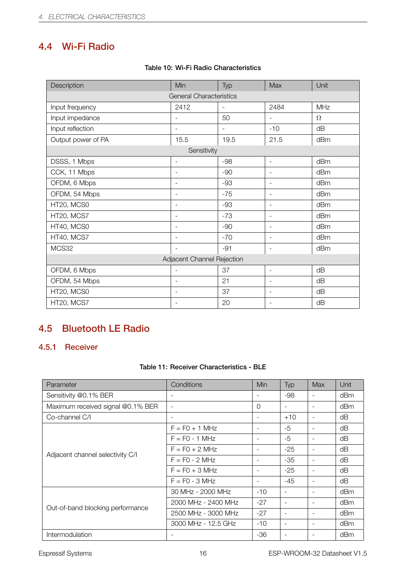# <span id="page-20-0"></span>4.4 Wi-Fi Radio

<span id="page-20-3"></span>

| Description                    | Min                        | Typ                      | Max                      | Unit       |  |  |
|--------------------------------|----------------------------|--------------------------|--------------------------|------------|--|--|
| <b>General Characteristics</b> |                            |                          |                          |            |  |  |
| Input frequency                | 2412                       | $\overline{\phantom{0}}$ | 2484                     | <b>MHz</b> |  |  |
| Input impedance                |                            | 50                       |                          | $\Omega$   |  |  |
| Input reflection               | $\overline{\phantom{a}}$   | $\overline{\phantom{0}}$ | $-10$                    | dB         |  |  |
| Output power of PA             | 15.5                       | 19.5                     | 21.5                     | dBm        |  |  |
|                                | Sensitivity                |                          |                          |            |  |  |
| DSSS, 1 Mbps                   | $\overline{\phantom{a}}$   | $-98$                    | $\blacksquare$           | dBm        |  |  |
| CCK, 11 Mbps                   | $\overline{\phantom{a}}$   | $-90$                    | $\blacksquare$           | dBm        |  |  |
| OFDM, 6 Mbps                   | $\overline{\phantom{a}}$   | -93                      | $\blacksquare$           | dBm        |  |  |
| OFDM, 54 Mbps                  | $\overline{\phantom{m}}$   | $-75$                    | $\blacksquare$           | dBm        |  |  |
| HT20, MCS0                     | $\overline{\phantom{0}}$   | -93                      | $\overline{\phantom{a}}$ | dBm        |  |  |
| HT20, MCS7                     | $\overline{\phantom{a}}$   | $-73$                    | $\sim$                   | dBm        |  |  |
| HT40, MCS0                     | $\overline{\phantom{a}}$   | $-90$                    | $\overline{\phantom{a}}$ | dBm        |  |  |
| HT40, MCS7                     | $\overline{\phantom{a}}$   | $-70$                    | $\overline{\phantom{a}}$ | dBm        |  |  |
| MCS32                          | $\blacksquare$             | $-91$                    | $\overline{\phantom{a}}$ | dBm        |  |  |
|                                | Adjacent Channel Rejection |                          |                          |            |  |  |
| OFDM, 6 Mbps                   | $\overline{\phantom{a}}$   | 37                       | $\overline{\phantom{a}}$ | dB         |  |  |
| OFDM, 54 Mbps                  | $\overline{\phantom{a}}$   | 21                       | $\blacksquare$           | dB         |  |  |
| HT20, MCS0                     | $\overline{\phantom{0}}$   | 37                       | $\overline{\phantom{a}}$ | dB         |  |  |
| HT20, MCS7                     | $\qquad \qquad -$          | 20                       | $\overline{\phantom{a}}$ | dB         |  |  |

#### Table 10: Wi-Fi Radio Characteristics

### <span id="page-20-1"></span>4.5 Bluetooth LE Radio

### <span id="page-20-2"></span>4.5.1 Receiver

|  |  | Table 11: Receiver Characteristics - BLE |  |
|--|--|------------------------------------------|--|
|--|--|------------------------------------------|--|

| Parameter                         | Conditions               | <b>Min</b>               | Typ                      | Max                      | Unit |
|-----------------------------------|--------------------------|--------------------------|--------------------------|--------------------------|------|
| Sensitivity @0.1% BER             | $\overline{\phantom{a}}$ | $\overline{\phantom{a}}$ | -98                      | $\blacksquare$           | dBm  |
| Maximum received signal @0.1% BER | $\sim$                   | 0                        | $\blacksquare$           |                          | dBm  |
| Co-channel C/I                    | $\overline{\phantom{a}}$ | $\overline{\phantom{a}}$ | $+10$                    | $\blacksquare$           | dB   |
| Adjacent channel selectivity C/I  | $F = F0 + 1 MHz$         |                          | $-5$                     |                          | dB   |
|                                   | $F = F0 - 1 MHz$         | $\qquad \qquad -$        | $-5$                     | $\overline{\phantom{a}}$ | dB   |
|                                   | $F = F0 + 2 MHz$         | $\overline{\phantom{a}}$ | $-25$                    | $\blacksquare$           | dB   |
|                                   | $F = FO - 2 MHz$         | $\overline{\phantom{a}}$ | $-35$                    | $\overline{\phantom{a}}$ | dB   |
|                                   | $F = FO + 3 MHz$         |                          | $-25$                    |                          | dB   |
|                                   | $F = FO - 3 MHz$         | $\overline{\phantom{a}}$ | $-45$                    |                          | dB   |
|                                   | 30 MHz - 2000 MHz        | $-10$                    | $\overline{\phantom{a}}$ |                          | dBm  |
|                                   | 2000 MHz - 2400 MHz      | $-27$                    | $\blacksquare$           |                          | dBm  |
| Out-of-band blocking performance  | 2500 MHz - 3000 MHz      | $-27$                    | $\overline{\phantom{a}}$ |                          | dBm  |
|                                   | 3000 MHz - 12.5 GHz      | $-10$                    | $\blacksquare$           |                          | dBm  |
| Intermodulation                   |                          | $-36$                    | $\overline{\phantom{a}}$ |                          | dBm  |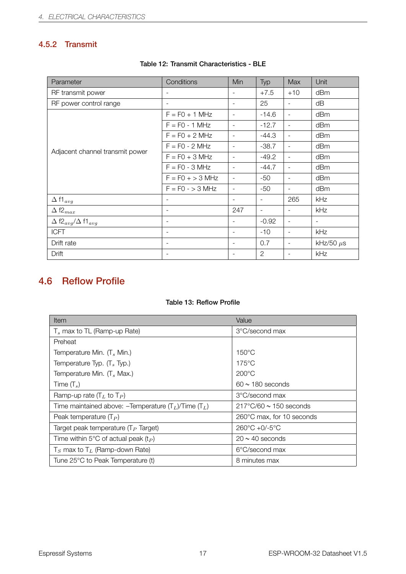### <span id="page-21-1"></span>4.5.2 Transmit

| Parameter                                               | Conditions               | Min                      | Typ                      | <b>Max</b>               | Unit                     |
|---------------------------------------------------------|--------------------------|--------------------------|--------------------------|--------------------------|--------------------------|
| RF transmit power                                       |                          |                          | $+7.5$                   | $+10$                    | dBm                      |
| RF power control range                                  | $\overline{\phantom{a}}$ | $\overline{\phantom{a}}$ | 25                       | $\overline{\phantom{0}}$ | dB                       |
| Adjacent channel transmit power                         | $F = FO + 1 MHz$         | $\overline{\phantom{a}}$ | $-14.6$                  | $\overline{\phantom{a}}$ | dBm                      |
|                                                         | $F = F0 - 1 MHz$         | $\sim$                   | $-12.7$                  | $\overline{\phantom{a}}$ | dBm                      |
|                                                         | $F = F0 + 2 MHz$         | $\overline{\phantom{a}}$ | $-44.3$                  | $\overline{\phantom{a}}$ | dBm                      |
|                                                         | $F = F0 - 2 MHz$         | $\overline{\phantom{a}}$ | $-38.7$                  | $\overline{\phantom{a}}$ | dBm                      |
|                                                         | $F = F0 + 3 MHz$         | $\overline{\phantom{a}}$ | $-49.2$                  | $\overline{\phantom{a}}$ | dBm                      |
|                                                         | $F = F0 - 3 MHz$         | $\sim$                   | $-44.7$                  | $\overline{\phantom{0}}$ | dBm                      |
|                                                         | $F = F0 + > 3$ MHz       | $\overline{\phantom{a}}$ | -50                      | $\qquad \qquad -$        | dBm                      |
|                                                         | $F = F0 - 3 MHz$         | $\overline{\phantom{a}}$ | $-50$                    | $\overline{\phantom{a}}$ | dBm                      |
| $\Delta$ f1 $_{avg}$                                    | $\overline{\phantom{a}}$ | $\overline{\phantom{a}}$ | $\overline{\phantom{a}}$ | 265                      | kHz                      |
| $\Delta$ f2 $_{max}$                                    |                          | 247                      | $\overline{\phantom{a}}$ | $\overline{\phantom{0}}$ | kHz                      |
| $\Delta$ f2 <sub>avg</sub> / $\Delta$ f1 <sub>avg</sub> | $\overline{\phantom{a}}$ | $\overline{\phantom{a}}$ | $-0.92$                  | $\overline{\phantom{a}}$ | $\overline{\phantom{a}}$ |
| <b>ICFT</b>                                             | $\overline{\phantom{a}}$ | $\overline{\phantom{a}}$ | $-10$                    | -                        | kHz                      |
| Drift rate                                              | $\overline{\phantom{a}}$ | $\overline{\phantom{a}}$ | 0.7                      | $\qquad \qquad -$        | kHz/50 $\mu$ s           |
| Drift                                                   | $\overline{\phantom{a}}$ | $\overline{\phantom{a}}$ | $\overline{2}$           | $\overline{\phantom{a}}$ | kHz                      |

#### Table 12: Transmit Characteristics - BLE

## <span id="page-21-0"></span>4.6 Reflow Profile

#### Table 13: Reflow Profile

| Item                                                                         | Value                                 |  |  |
|------------------------------------------------------------------------------|---------------------------------------|--|--|
| $T_s$ max to TL (Ramp-up Rate)                                               | 3°C/second max                        |  |  |
| Preheat                                                                      |                                       |  |  |
| Temperature Min. $(T_s$ Min.)                                                | $150^{\circ}$ C                       |  |  |
| Temperature Typ. $(T_s$ Typ.)                                                | $175^{\circ}$ C                       |  |  |
| Temperature Min. $(T_s$ Max.)                                                | $200^{\circ}$ C                       |  |  |
| Time $(T_s)$                                                                 | $60 \sim 180$ seconds                 |  |  |
| Ramp-up rate $(T_L$ to $T_P$ )                                               | 3°C/second max                        |  |  |
| Time maintained above: -Temperature (T <sub>L</sub> )/Time (T <sub>L</sub> ) | $217^{\circ}$ C/60 $\sim$ 150 seconds |  |  |
| Peak temperature $(T_P)$                                                     | 260°C max, for 10 seconds             |  |  |
| Target peak temperature ( $T_P$ Target)                                      | $260^{\circ}C + 0/-5^{\circ}C$        |  |  |
| Time within 5°C of actual peak ( $t_P$ )                                     | $20 \sim 40$ seconds                  |  |  |
| $T_S$ max to $T_L$ (Ramp-down Rate)                                          | 6°C/second max                        |  |  |
| Tune 25°C to Peak Temperature (t)                                            | 8 minutes max                         |  |  |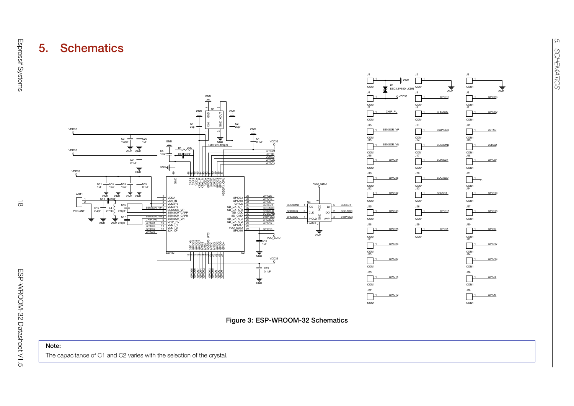







<span id="page-22-0"></span>The capacitance of C1 and C2 varies with the selection of the crystal.